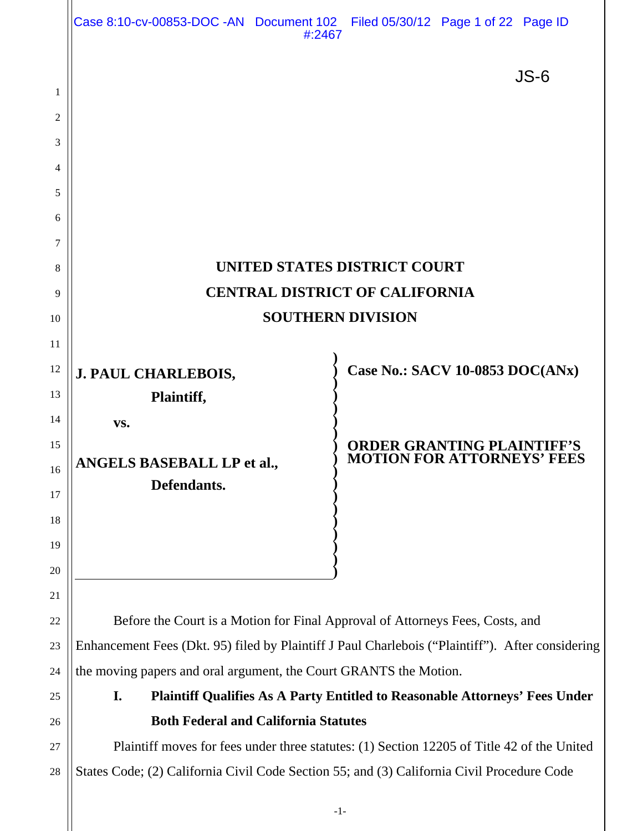|          | Case 8:10-cv-00853-DOC -AN Document 102 Filed 05/30/12 Page 1 of 22 Page ID                      | #:2467 |  |                                                                        |  |  |  |  |  |  |
|----------|--------------------------------------------------------------------------------------------------|--------|--|------------------------------------------------------------------------|--|--|--|--|--|--|
|          |                                                                                                  |        |  | $JS-6$                                                                 |  |  |  |  |  |  |
| 1        |                                                                                                  |        |  |                                                                        |  |  |  |  |  |  |
| 2        |                                                                                                  |        |  |                                                                        |  |  |  |  |  |  |
| 3        |                                                                                                  |        |  |                                                                        |  |  |  |  |  |  |
| 4        |                                                                                                  |        |  |                                                                        |  |  |  |  |  |  |
| 5        |                                                                                                  |        |  |                                                                        |  |  |  |  |  |  |
| 6        |                                                                                                  |        |  |                                                                        |  |  |  |  |  |  |
| 7        |                                                                                                  |        |  |                                                                        |  |  |  |  |  |  |
| 8        | UNITED STATES DISTRICT COURT                                                                     |        |  |                                                                        |  |  |  |  |  |  |
| 9        | <b>CENTRAL DISTRICT OF CALIFORNIA</b>                                                            |        |  |                                                                        |  |  |  |  |  |  |
| 10       | <b>SOUTHERN DIVISION</b>                                                                         |        |  |                                                                        |  |  |  |  |  |  |
| 11       |                                                                                                  |        |  |                                                                        |  |  |  |  |  |  |
| 12       | <b>J. PAUL CHARLEBOIS,</b>                                                                       |        |  | <b>Case No.: SACV 10-0853 DOC(ANx)</b>                                 |  |  |  |  |  |  |
| 13       | Plaintiff,                                                                                       |        |  |                                                                        |  |  |  |  |  |  |
| 14<br>15 | VS.                                                                                              |        |  |                                                                        |  |  |  |  |  |  |
| 16       | <b>ANGELS BASEBALL LP et al.,</b>                                                                |        |  | <b>ORDER GRANTING PLAINTIFF'S</b><br><b>MOTION FOR ATTORNEYS' FEES</b> |  |  |  |  |  |  |
| 17       | Defendants.                                                                                      |        |  |                                                                        |  |  |  |  |  |  |
| 18       |                                                                                                  |        |  |                                                                        |  |  |  |  |  |  |
| 19       |                                                                                                  |        |  |                                                                        |  |  |  |  |  |  |
| 20       |                                                                                                  |        |  |                                                                        |  |  |  |  |  |  |
| 21       |                                                                                                  |        |  |                                                                        |  |  |  |  |  |  |
| 22       | Before the Court is a Motion for Final Approval of Attorneys Fees, Costs, and                    |        |  |                                                                        |  |  |  |  |  |  |
| 23       | Enhancement Fees (Dkt. 95) filed by Plaintiff J Paul Charlebois ("Plaintiff"). After considering |        |  |                                                                        |  |  |  |  |  |  |
| 24       | the moving papers and oral argument, the Court GRANTS the Motion.                                |        |  |                                                                        |  |  |  |  |  |  |
| 25       | <b>Plaintiff Qualifies As A Party Entitled to Reasonable Attorneys' Fees Under</b><br>I.         |        |  |                                                                        |  |  |  |  |  |  |
| 26       | <b>Both Federal and California Statutes</b>                                                      |        |  |                                                                        |  |  |  |  |  |  |
| 27       | Plaintiff moves for fees under three statutes: (1) Section 12205 of Title 42 of the United       |        |  |                                                                        |  |  |  |  |  |  |
| 28       | States Code; (2) California Civil Code Section 55; and (3) California Civil Procedure Code       |        |  |                                                                        |  |  |  |  |  |  |
|          |                                                                                                  |        |  |                                                                        |  |  |  |  |  |  |

-1-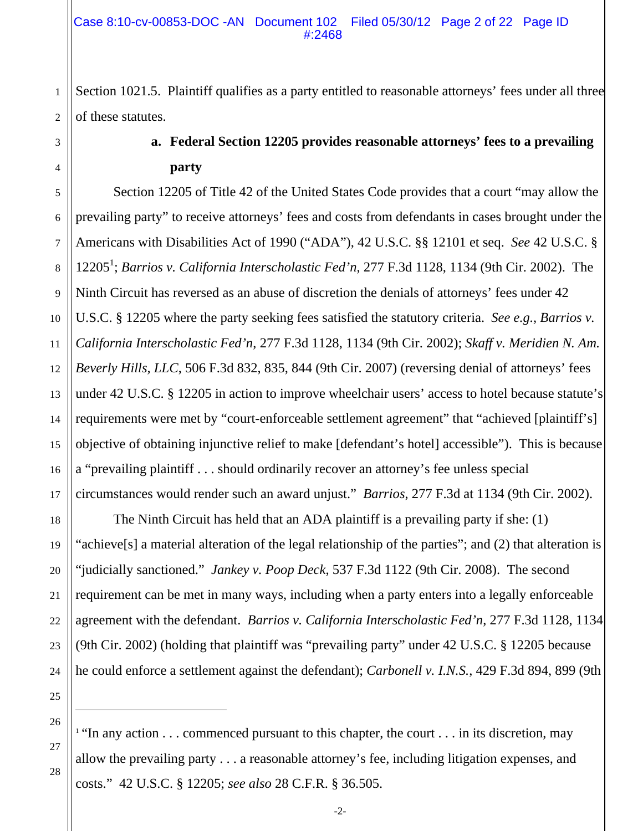Section 1021.5. Plaintiff qualifies as a party entitled to reasonable attorneys' fees under all three of these statutes.

# **a. Federal Section 12205 provides reasonable attorneys' fees to a prevailing party**

5 6 7 8 9 10 11 12 13 14 15 16 17 Section 12205 of Title 42 of the United States Code provides that a court "may allow the prevailing party" to receive attorneys' fees and costs from defendants in cases brought under the Americans with Disabilities Act of 1990 ("ADA"), 42 U.S.C. §§ 12101 et seq. *See* 42 U.S.C. § 12205<sup>1</sup>; *Barrios v. California Interscholastic Fed'n*, 277 F.3d 1128, 1134 (9th Cir. 2002). The Ninth Circuit has reversed as an abuse of discretion the denials of attorneys' fees under 42 U.S.C. § 12205 where the party seeking fees satisfied the statutory criteria. *See e.g., Barrios v. California Interscholastic Fed'n*, 277 F.3d 1128, 1134 (9th Cir. 2002); *Skaff v. Meridien N. Am. Beverly Hills, LLC*, 506 F.3d 832, 835, 844 (9th Cir. 2007) (reversing denial of attorneys' fees under 42 U.S.C. § 12205 in action to improve wheelchair users' access to hotel because statute's requirements were met by "court-enforceable settlement agreement" that "achieved [plaintiff's] objective of obtaining injunctive relief to make [defendant's hotel] accessible"). This is because a "prevailing plaintiff . . . should ordinarily recover an attorney's fee unless special circumstances would render such an award unjust." *Barrios*, 277 F.3d at 1134 (9th Cir. 2002).

The Ninth Circuit has held that an ADA plaintiff is a prevailing party if she: (1) "achieve[s] a material alteration of the legal relationship of the parties"; and (2) that alteration is "judicially sanctioned." *Jankey v. Poop Deck*, 537 F.3d 1122 (9th Cir. 2008). The second requirement can be met in many ways, including when a party enters into a legally enforceable agreement with the defendant. *Barrios v. California Interscholastic Fed'n*, 277 F.3d 1128, 1134 (9th Cir. 2002) (holding that plaintiff was "prevailing party" under 42 U.S.C. § 12205 because he could enforce a settlement against the defendant); *Carbonell v. I.N.S.*, 429 F.3d 894, 899 (9th

26 <sup>1</sup> "In any action  $\ldots$  commenced pursuant to this chapter, the court  $\ldots$  in its discretion, may allow the prevailing party . . . a reasonable attorney's fee, including litigation expenses, and costs." 42 U.S.C. § 12205; *see also* 28 C.F.R. § 36.505.

27

18

19

20

21

22

23

24

25

 $\overline{a}$ 

1

2

3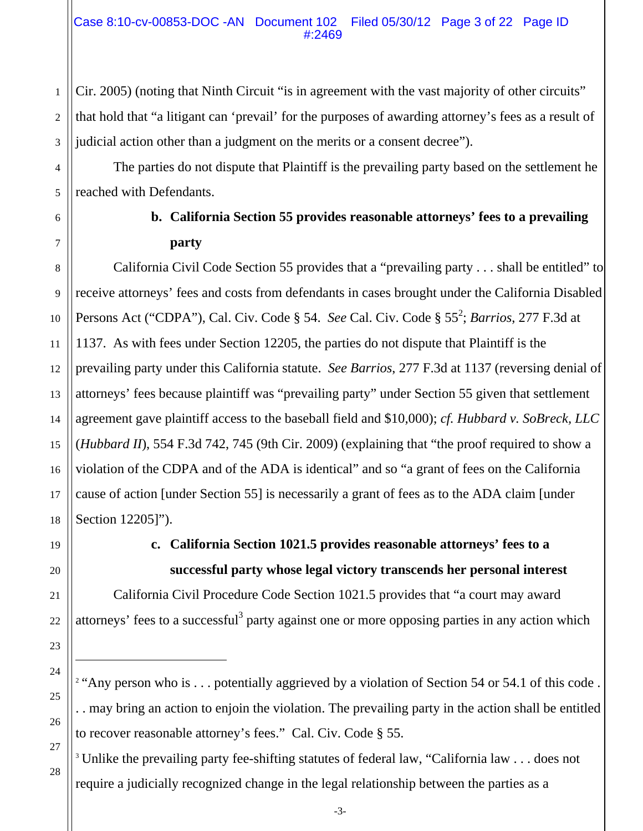Cir. 2005) (noting that Ninth Circuit "is in agreement with the vast majority of other circuits" that hold that "a litigant can 'prevail' for the purposes of awarding attorney's fees as a result of judicial action other than a judgment on the merits or a consent decree").

The parties do not dispute that Plaintiff is the prevailing party based on the settlement he reached with Defendants.

1

2

3

4

5

6

7

8

9

10

11

15

17

19

20

21

22

23

24

25

26

27

28

# **b. California Section 55 provides reasonable attorneys' fees to a prevailing party**

12 13 14 16 18 California Civil Code Section 55 provides that a "prevailing party . . . shall be entitled" to receive attorneys' fees and costs from defendants in cases brought under the California Disabled Persons Act ("CDPA"), Cal. Civ. Code § 54. *See* Cal. Civ. Code § 55<sup>2</sup>; *Barrios*, 277 F.3d at 1137. As with fees under Section 12205, the parties do not dispute that Plaintiff is the prevailing party under this California statute. *See Barrios*, 277 F.3d at 1137 (reversing denial of attorneys' fees because plaintiff was "prevailing party" under Section 55 given that settlement agreement gave plaintiff access to the baseball field and \$10,000); *cf. Hubbard v. SoBreck, LLC* (*Hubbard II*), 554 F.3d 742, 745 (9th Cir. 2009) (explaining that "the proof required to show a violation of the CDPA and of the ADA is identical" and so "a grant of fees on the California cause of action [under Section 55] is necessarily a grant of fees as to the ADA claim [under Section 12205]").

 $\overline{a}$ 

# **c. California Section 1021.5 provides reasonable attorneys' fees to a successful party whose legal victory transcends her personal interest**

California Civil Procedure Code Section 1021.5 provides that "a court may award attorneys' fees to a successful<sup>3</sup> party against one or more opposing parties in any action which

- <sup>2</sup> "Any person who is . . . potentially aggrieved by a violation of Section 54 or 54.1 of this code . . . may bring an action to enjoin the violation. The prevailing party in the action shall be entitled to recover reasonable attorney's fees." Cal. Civ. Code § 55.
- <sup>3</sup> Unlike the prevailing party fee-shifting statutes of federal law, "California law . . . does not require a judicially recognized change in the legal relationship between the parties as a

-3-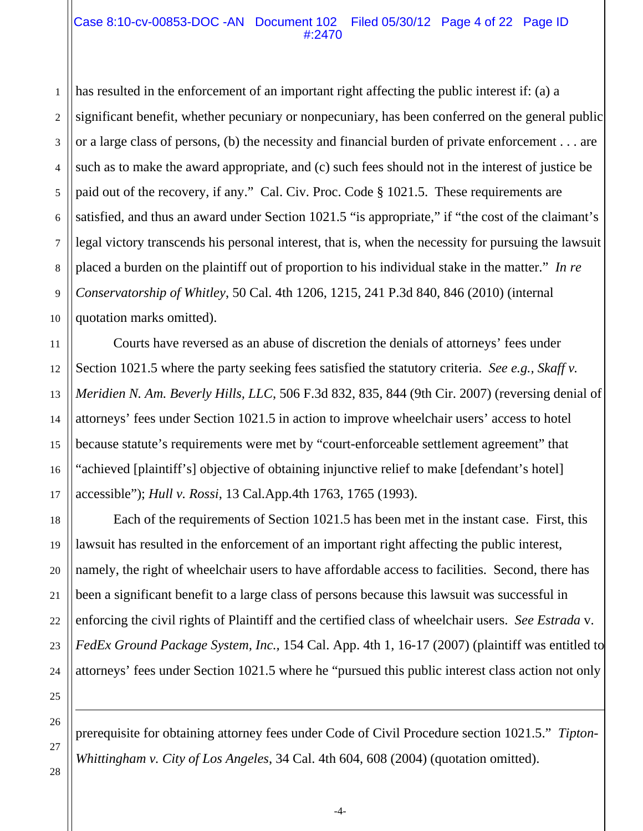#### Case 8:10-cv-00853-DOC -AN Document 102 Filed 05/30/12 Page 4 of 22 Page ID #:2470

1 2 3 4 5 6 7 8 9 10 has resulted in the enforcement of an important right affecting the public interest if: (a) a significant benefit, whether pecuniary or nonpecuniary, has been conferred on the general public or a large class of persons, (b) the necessity and financial burden of private enforcement . . . are such as to make the award appropriate, and (c) such fees should not in the interest of justice be paid out of the recovery, if any." Cal. Civ. Proc. Code § 1021.5. These requirements are satisfied, and thus an award under Section 1021.5 "is appropriate," if "the cost of the claimant's legal victory transcends his personal interest, that is, when the necessity for pursuing the lawsuit placed a burden on the plaintiff out of proportion to his individual stake in the matter." *In re Conservatorship of Whitley*, 50 Cal. 4th 1206, 1215, 241 P.3d 840, 846 (2010) (internal quotation marks omitted).

Courts have reversed as an abuse of discretion the denials of attorneys' fees under Section 1021.5 where the party seeking fees satisfied the statutory criteria. *See e.g., Skaff v. Meridien N. Am. Beverly Hills, LLC*, 506 F.3d 832, 835, 844 (9th Cir. 2007) (reversing denial of attorneys' fees under Section 1021.5 in action to improve wheelchair users' access to hotel because statute's requirements were met by "court-enforceable settlement agreement" that "achieved [plaintiff's] objective of obtaining injunctive relief to make [defendant's hotel] accessible"); *Hull v. Rossi*, 13 Cal.App.4th 1763, 1765 (1993).

Each of the requirements of Section 1021.5 has been met in the instant case. First, this lawsuit has resulted in the enforcement of an important right affecting the public interest, namely, the right of wheelchair users to have affordable access to facilities. Second, there has been a significant benefit to a large class of persons because this lawsuit was successful in enforcing the civil rights of Plaintiff and the certified class of wheelchair users. *See Estrada* v. *FedEx Ground Package System, Inc.,* 154 Cal. App. 4th 1, 16-17 (2007) (plaintiff was entitled to attorneys' fees under Section 1021.5 where he "pursued this public interest class action not only

prerequisite for obtaining attorney fees under Code of Civil Procedure section 1021.5." *Tipton-Whittingham v. City of Los Angeles*, 34 Cal. 4th 604, 608 (2004) (quotation omitted).

 $\overline{\phantom{a}}$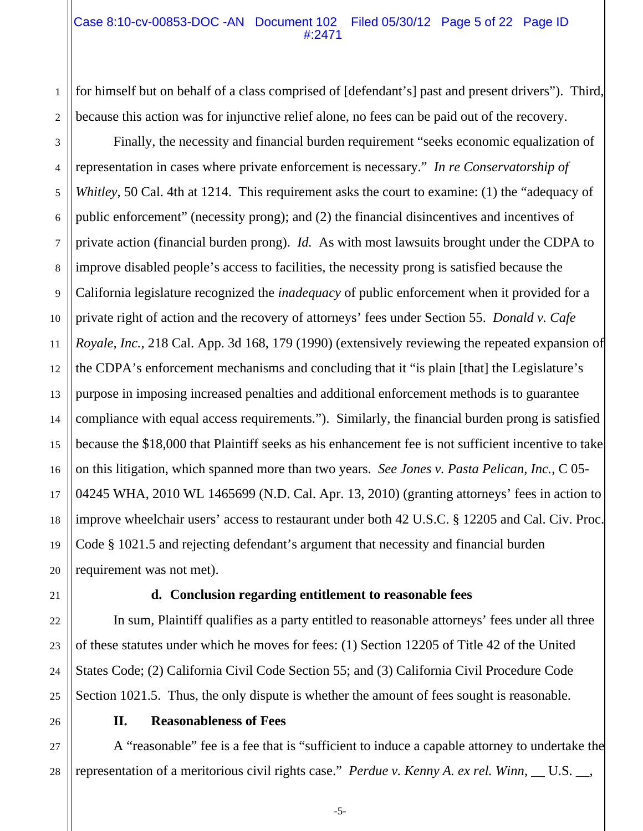#### Case 8:10-cv-00853-DOC -AN Document 102 Filed 05/30/12 Page 5 of 22 Page ID #:2471

2 for himself but on behalf of a class comprised of [defendant's] past and present drivers"). Third, because this action was for injunctive relief alone, no fees can be paid out of the recovery.

3 4 5 6 7 10 12 13 14 15 Finally, the necessity and financial burden requirement "seeks economic equalization of representation in cases where private enforcement is necessary." *In re Conservatorship of Whitley*, 50 Cal. 4th at 1214. This requirement asks the court to examine: (1) the "adequacy of public enforcement" (necessity prong); and (2) the financial disincentives and incentives of private action (financial burden prong). *Id.* As with most lawsuits brought under the CDPA to improve disabled people's access to facilities, the necessity prong is satisfied because the California legislature recognized the *inadequacy* of public enforcement when it provided for a private right of action and the recovery of attorneys' fees under Section 55. *Donald v. Cafe Royale, Inc.*, 218 Cal. App. 3d 168, 179 (1990) (extensively reviewing the repeated expansion of the CDPA's enforcement mechanisms and concluding that it "is plain [that] the Legislature's purpose in imposing increased penalties and additional enforcement methods is to guarantee compliance with equal access requirements."). Similarly, the financial burden prong is satisfied because the \$18,000 that Plaintiff seeks as his enhancement fee is not sufficient incentive to take on this litigation, which spanned more than two years. *See Jones v. Pasta Pelican, Inc.*, C 05- 04245 WHA, 2010 WL 1465699 (N.D. Cal. Apr. 13, 2010) (granting attorneys' fees in action to improve wheelchair users' access to restaurant under both 42 U.S.C. § 12205 and Cal. Civ. Proc. Code § 1021.5 and rejecting defendant's argument that necessity and financial burden requirement was not met).

1

8

9

11

#### **d. Conclusion regarding entitlement to reasonable fees**

In sum, Plaintiff qualifies as a party entitled to reasonable attorneys' fees under all three of these statutes under which he moves for fees: (1) Section 12205 of Title 42 of the United States Code; (2) California Civil Code Section 55; and (3) California Civil Procedure Code Section 1021.5. Thus, the only dispute is whether the amount of fees sought is reasonable.

28

#### **II. Reasonableness of Fees**

A "reasonable" fee is a fee that is "sufficient to induce a capable attorney to undertake the representation of a meritorious civil rights case." *Perdue v. Kenny A. ex rel. Winn*, \_\_ U.S. \_\_,

-5-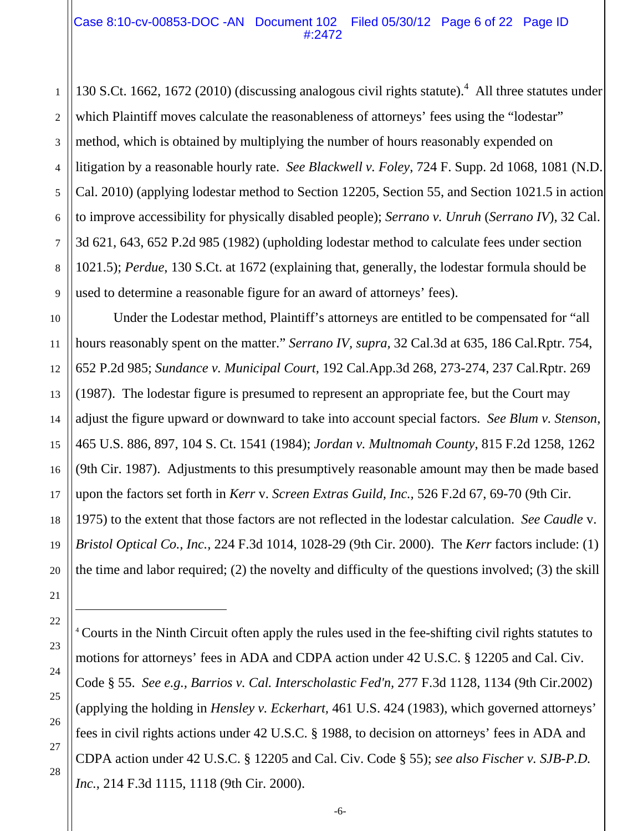130 S.Ct. 1662, 1672 (2010) (discussing analogous civil rights statute).<sup>4</sup> All three statutes under which Plaintiff moves calculate the reasonableness of attorneys' fees using the "lodestar" method, which is obtained by multiplying the number of hours reasonably expended on litigation by a reasonable hourly rate. *See Blackwell v. Foley*, 724 F. Supp. 2d 1068, 1081 (N.D. Cal. 2010) (applying lodestar method to Section 12205, Section 55, and Section 1021.5 in action to improve accessibility for physically disabled people); *Serrano v. Unruh* (*Serrano IV*), 32 Cal. 3d 621, 643, 652 P.2d 985 (1982) (upholding lodestar method to calculate fees under section 1021.5); *Perdue*, 130 S.Ct. at 1672 (explaining that, generally, the lodestar formula should be used to determine a reasonable figure for an award of attorneys' fees).

15 Under the Lodestar method, Plaintiff's attorneys are entitled to be compensated for "all hours reasonably spent on the matter." *Serrano IV, supra,* 32 Cal.3d at 635, 186 Cal.Rptr. 754, 652 P.2d 985; *Sundance v. Municipal Court,* 192 Cal.App.3d 268, 273-274, 237 Cal.Rptr. 269 (1987). The lodestar figure is presumed to represent an appropriate fee, but the Court may adjust the figure upward or downward to take into account special factors. *See Blum v. Stenson*, 465 U.S. 886, 897, 104 S. Ct. 1541 (1984); *Jordan v. Multnomah County*, 815 F.2d 1258, 1262 (9th Cir. 1987). Adjustments to this presumptively reasonable amount may then be made based upon the factors set forth in *Kerr* v. *Screen Extras Guild, Inc.,* 526 F.2d 67, 69-70 (9th Cir. 1975) to the extent that those factors are not reflected in the lodestar calculation. *See Caudle* v. *Bristol Optical Co., Inc.,* 224 F.3d 1014, 1028-29 (9th Cir. 2000). The *Kerr* factors include: (1) the time and labor required; (2) the novelty and difficulty of the questions involved; (3) the skill

 $\overline{\phantom{a}}$ 

1

2

3

4

5

6

7

8

9

10

11

12

13

14

16

17

27

-6-

<sup>4</sup> Courts in the Ninth Circuit often apply the rules used in the fee-shifting civil rights statutes to motions for attorneys' fees in ADA and CDPA action under 42 U.S.C. § 12205 and Cal. Civ. Code § 55. *See e.g., Barrios v. Cal. Interscholastic Fed'n,* 277 F.3d 1128, 1134 (9th Cir.2002) (applying the holding in *Hensley v. Eckerhart,* 461 U.S. 424 (1983), which governed attorneys' fees in civil rights actions under 42 U.S.C. § 1988, to decision on attorneys' fees in ADA and CDPA action under 42 U.S.C. § 12205 and Cal. Civ. Code § 55); *see also Fischer v. SJB-P.D. Inc.*, 214 F.3d 1115, 1118 (9th Cir. 2000).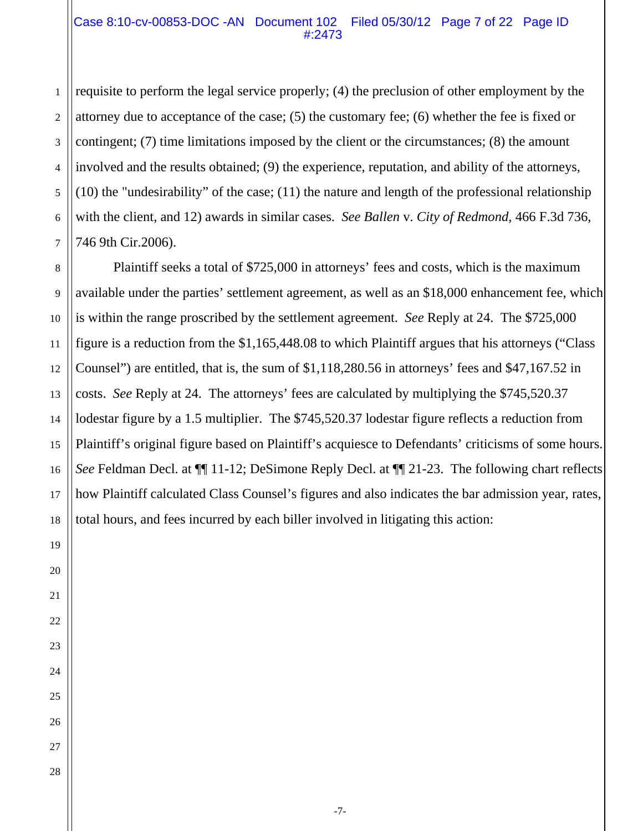#### Case 8:10-cv-00853-DOC -AN Document 102 Filed 05/30/12 Page 7 of 22 Page ID #:2473

requisite to perform the legal service properly; (4) the preclusion of other employment by the attorney due to acceptance of the case; (5) the customary fee; (6) whether the fee is fixed or contingent; (7) time limitations imposed by the client or the circumstances; (8) the amount involved and the results obtained; (9) the experience, reputation, and ability of the attorneys, (10) the "undesirability" of the case; (11) the nature and length of the professional relationship with the client, and 12) awards in similar cases. *See Ballen* v. *City of Redmond,* 466 F.3d 736, 746 9th Cir.2006).

Plaintiff seeks a total of \$725,000 in attorneys' fees and costs, which is the maximum available under the parties' settlement agreement, as well as an \$18,000 enhancement fee, which is within the range proscribed by the settlement agreement. *See* Reply at 24. The \$725,000 figure is a reduction from the \$1,165,448.08 to which Plaintiff argues that his attorneys ("Class Counsel") are entitled, that is, the sum of \$1,118,280.56 in attorneys' fees and \$47,167.52 in costs. *See* Reply at 24. The attorneys' fees are calculated by multiplying the \$745,520.37 lodestar figure by a 1.5 multiplier. The \$745,520.37 lodestar figure reflects a reduction from Plaintiff's original figure based on Plaintiff's acquiesce to Defendants' criticisms of some hours. *See* Feldman Decl. at ¶¶ 11-12; DeSimone Reply Decl. at ¶¶ 21-23. The following chart reflects how Plaintiff calculated Class Counsel's figures and also indicates the bar admission year, rates, total hours, and fees incurred by each biller involved in litigating this action: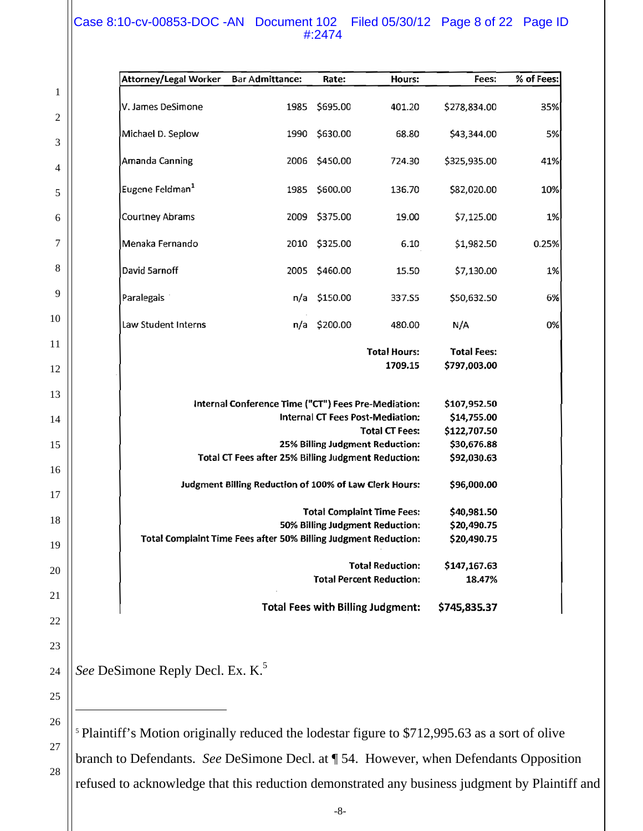## Case 8:10-cv-00853-DOC -AN Document 102 Filed 05/30/12 Page 8 of 22 Page ID #:2474

|                | Attorney/Legal Worker                                                                                         | <b>Bar Admittance:</b>                                     | Rate:         | Hours:                                   | Fees:              | % of Fees: |
|----------------|---------------------------------------------------------------------------------------------------------------|------------------------------------------------------------|---------------|------------------------------------------|--------------------|------------|
| 1<br>2         | V. James DeSimone                                                                                             | 1985                                                       | \$695.00      | 401.20                                   | \$278,834.00       | 35%        |
| 3              | Michael D. Seplow                                                                                             | 1990                                                       | \$630.00      | 68.80                                    | \$43,344.00        | 5%         |
| 4              | Amanda Canning                                                                                                |                                                            | 2006 \$450.00 | 724.30                                   | \$325,935.00       | 41%        |
| 5              | Eugene Feldman <sup>1</sup>                                                                                   | 1985                                                       | \$600.00      | 136.70                                   | \$82,020.00        | 10%        |
| 6              | Courtney Abrams                                                                                               | 2009                                                       | \$375.00      | 19.00                                    | \$7,125.00         | 1%         |
| 7              | Menaka Fernando                                                                                               | 2010                                                       | \$325.00      | 6.10                                     | \$1,982.50         | 0.25%      |
| 8              | David 5arnoff                                                                                                 | 2005                                                       | \$460.00      | 15.50                                    | \$7,130.00         | 1%         |
| 9              | Paralegals                                                                                                    | n/a                                                        | \$150.00      | 337.S5                                   | \$50,632.50        | 6%         |
| 10             | Law Student Interns                                                                                           | n/a                                                        | \$200.00      | 480.00                                   | N/A                | 0%         |
| 11             |                                                                                                               |                                                            |               | <b>Total Hours:</b>                      | <b>Total Fees:</b> |            |
| 12             |                                                                                                               |                                                            |               | 1709.15                                  | \$797,003.00       |            |
| 13<br>14<br>15 | Internal Conference Time ("CT") Fees Pre-Mediation:                                                           | \$107,952.50<br>\$14,755.00<br>\$122,707.50<br>\$30,676.88 |               |                                          |                    |            |
| 16             | Total CT Fees after 25% Billing Judgment Reduction:<br>Judgment Billing Reduction of 100% of Law Clerk Hours: | \$92,030.63<br>\$96,000.00                                 |               |                                          |                    |            |
| 17<br>18<br>19 | Total Complaint Time Fees after 50% Billing Judgment Reduction:                                               | \$40,981.50<br>\$20,490.75<br>\$20,490.75                  |               |                                          |                    |            |
| 20             |                                                                                                               | \$147,167.63<br>18.47%                                     |               |                                          |                    |            |
| 21             |                                                                                                               |                                                            |               | <b>Total Fees with Billing Judgment:</b> | \$745,835.37       |            |
| 22             |                                                                                                               |                                                            |               |                                          |                    |            |
| 23             |                                                                                                               |                                                            |               |                                          |                    |            |
| 24             | See DeSimone Reply Decl. Ex. K. <sup>5</sup>                                                                  |                                                            |               |                                          |                    |            |
| 25             |                                                                                                               |                                                            |               |                                          |                    |            |

 Plaintiff's Motion originally reduced the lodestar figure to \$712,995.63 as a sort of olive branch to Defendants. *See* DeSimone Decl. at ¶ 54. However, when Defendants Opposition refused to acknowledge that this reduction demonstrated any business judgment by Plaintiff and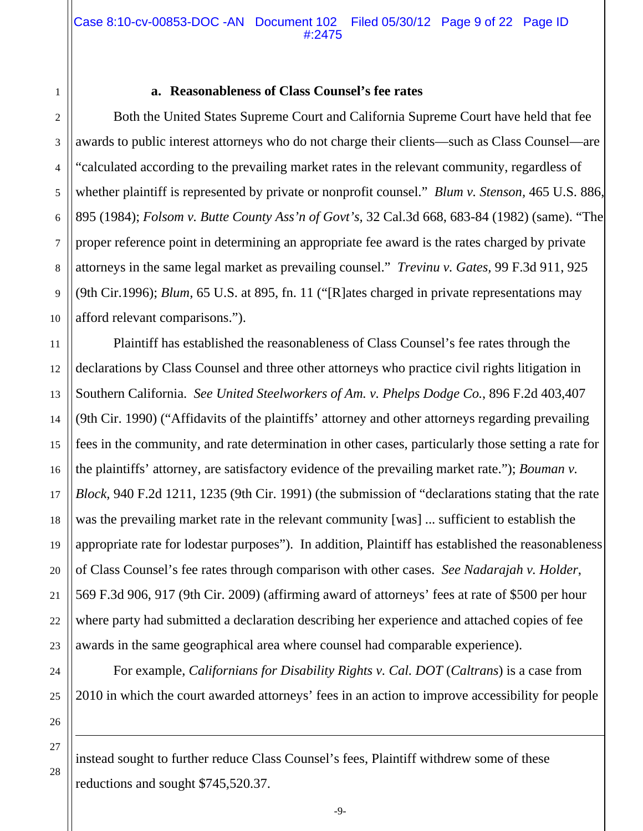#### **a. Reasonableness of Class Counsel's fee rates**

Both the United States Supreme Court and California Supreme Court have held that fee awards to public interest attorneys who do not charge their clients—such as Class Counsel—are "calculated according to the prevailing market rates in the relevant community, regardless of whether plaintiff is represented by private or nonprofit counsel." *Blum v. Stenson,* 465 U.S. 886, 895 (1984); *Folsom v. Butte County Ass'n of Govt's,* 32 Cal.3d 668, 683-84 (1982) (same). "The proper reference point in determining an appropriate fee award is the rates charged by private attorneys in the same legal market as prevailing counsel." *Trevinu v. Gates,* 99 F.3d 911, 925 (9th Cir.1996); *Blum,* 65 U.S. at 895, fn. 11 ("[R]ates charged in private representations may afford relevant comparisons.").

12 13 14 16 18 19 20 22 Plaintiff has established the reasonableness of Class Counsel's fee rates through the declarations by Class Counsel and three other attorneys who practice civil rights litigation in Southern California. *See United Steelworkers of Am. v. Phelps Dodge Co.*, 896 F.2d 403,407 (9th Cir. 1990) ("Affidavits of the plaintiffs' attorney and other attorneys regarding prevailing fees in the community, and rate determination in other cases, particularly those setting a rate for the plaintiffs' attorney, are satisfactory evidence of the prevailing market rate."); *Bouman v. Block,* 940 F.2d 1211, 1235 (9th Cir. 1991) (the submission of "declarations stating that the rate was the prevailing market rate in the relevant community [was] ... sufficient to establish the appropriate rate for lodestar purposes"). In addition, Plaintiff has established the reasonableness of Class Counsel's fee rates through comparison with other cases. *See Nadarajah v. Holder*, 569 F.3d 906, 917 (9th Cir. 2009) (affirming award of attorneys' fees at rate of \$500 per hour where party had submitted a declaration describing her experience and attached copies of fee awards in the same geographical area where counsel had comparable experience).

For example, *Californians for Disability Rights v. Cal. DOT* (*Caltrans*) is a case from 2010 in which the court awarded attorneys' fees in an action to improve accessibility for people

-9-

27

 $\overline{\phantom{a}}$ 

28

1

2

3

4

5

6

7

8

9

10

11

15

17

21

23

24

25

26

instead sought to further reduce Class Counsel's fees, Plaintiff withdrew some of these reductions and sought \$745,520.37.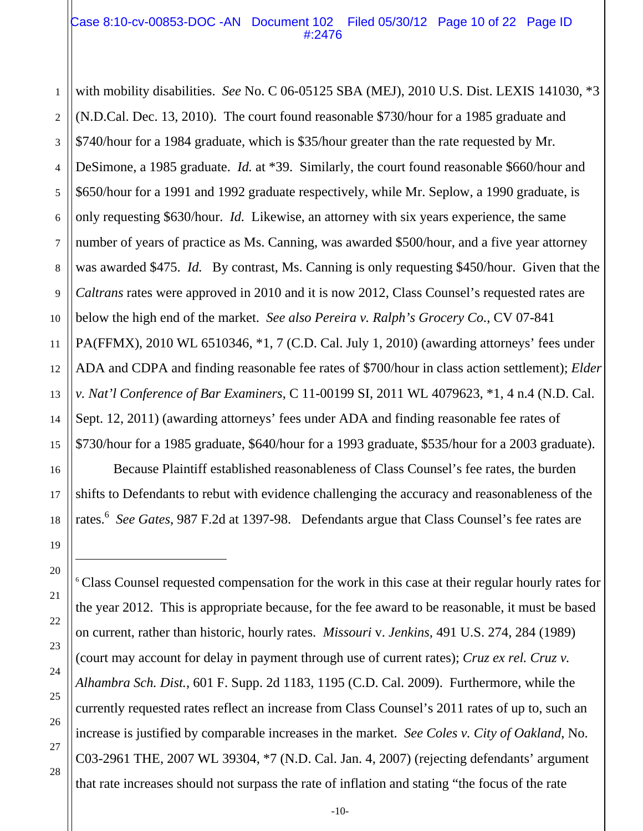#### Case 8:10-cv-00853-DOC -AN Document 102 Filed 05/30/12 Page 10 of 22 Page ID #:2476

1 2 3 4 5 6 7 8 9 10 11 12 13 14 15 with mobility disabilities. *See* No. C 06-05125 SBA (MEJ), 2010 U.S. Dist. LEXIS 141030, \*3 (N.D.Cal. Dec. 13, 2010). The court found reasonable \$730/hour for a 1985 graduate and \$740/hour for a 1984 graduate, which is \$35/hour greater than the rate requested by Mr. DeSimone, a 1985 graduate. *Id.* at \*39. Similarly, the court found reasonable \$660/hour and \$650/hour for a 1991 and 1992 graduate respectively, while Mr. Seplow, a 1990 graduate, is only requesting \$630/hour. *Id.* Likewise, an attorney with six years experience, the same number of years of practice as Ms. Canning, was awarded \$500/hour, and a five year attorney was awarded \$475. *Id.* By contrast, Ms. Canning is only requesting \$450/hour. Given that the *Caltrans* rates were approved in 2010 and it is now 2012, Class Counsel's requested rates are below the high end of the market. *See also Pereira v. Ralph's Grocery Co.*, CV 07-841 PA(FFMX), 2010 WL 6510346, \*1, 7 (C.D. Cal. July 1, 2010) (awarding attorneys' fees under ADA and CDPA and finding reasonable fee rates of \$700/hour in class action settlement); *Elder v. Nat'l Conference of Bar Examiners*, C 11-00199 SI, 2011 WL 4079623, \*1, 4 n.4 (N.D. Cal. Sept. 12, 2011) (awarding attorneys' fees under ADA and finding reasonable fee rates of \$730/hour for a 1985 graduate, \$640/hour for a 1993 graduate, \$535/hour for a 2003 graduate).

Because Plaintiff established reasonableness of Class Counsel's fee rates, the burden shifts to Defendants to rebut with evidence challenging the accuracy and reasonableness of the rates.<sup>6</sup> *See Gates*, 987 F.2d at 1397-98. Defendants argue that Class Counsel's fee rates are

<sup>6</sup> Class Counsel requested compensation for the work in this case at their regular hourly rates for the year 2012. This is appropriate because, for the fee award to be reasonable, it must be based on current, rather than historic, hourly rates. *Missouri* v. *Jenkins,* 491 U.S. 274, 284 (1989) (court may account for delay in payment through use of current rates); *Cruz ex rel. Cruz v. Alhambra Sch. Dist.*, 601 F. Supp. 2d 1183, 1195 (C.D. Cal. 2009). Furthermore, while the currently requested rates reflect an increase from Class Counsel's 2011 rates of up to, such an increase is justified by comparable increases in the market. *See Coles v. City of Oakland*, No. C03-2961 THE, 2007 WL 39304, \*7 (N.D. Cal. Jan. 4, 2007) (rejecting defendants' argument that rate increases should not surpass the rate of inflation and stating "the focus of the rate

 $\overline{\phantom{a}}$ 

16

-10-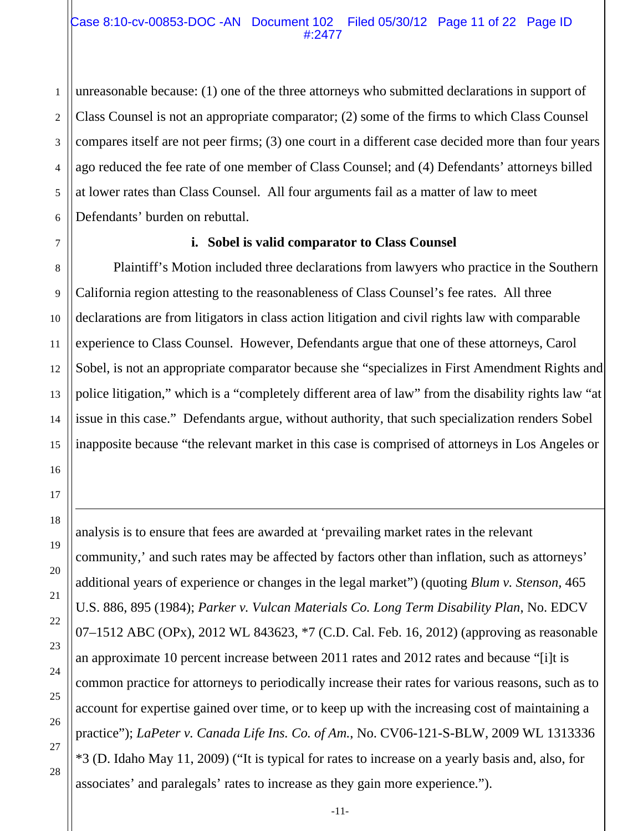unreasonable because: (1) one of the three attorneys who submitted declarations in support of Class Counsel is not an appropriate comparator; (2) some of the firms to which Class Counsel compares itself are not peer firms; (3) one court in a different case decided more than four years ago reduced the fee rate of one member of Class Counsel; and (4) Defendants' attorneys billed at lower rates than Class Counsel. All four arguments fail as a matter of law to meet Defendants' burden on rebuttal.

## **i. Sobel is valid comparator to Class Counsel**

Plaintiff's Motion included three declarations from lawyers who practice in the Southern California region attesting to the reasonableness of Class Counsel's fee rates. All three declarations are from litigators in class action litigation and civil rights law with comparable experience to Class Counsel. However, Defendants argue that one of these attorneys, Carol Sobel, is not an appropriate comparator because she "specializes in First Amendment Rights and police litigation," which is a "completely different area of law" from the disability rights law "at issue in this case." Defendants argue, without authority, that such specialization renders Sobel inapposite because "the relevant market in this case is comprised of attorneys in Los Angeles or

analysis is to ensure that fees are awarded at 'prevailing market rates in the relevant community,' and such rates may be affected by factors other than inflation, such as attorneys' additional years of experience or changes in the legal market") (quoting *Blum v. Stenson,* 465 U.S. 886, 895 (1984); *Parker v. Vulcan Materials Co. Long Term Disability Plan*, No. EDCV 07–1512 ABC (OPx), 2012 WL 843623, \*7 (C.D. Cal. Feb. 16, 2012) (approving as reasonable an approximate 10 percent increase between 2011 rates and 2012 rates and because "[i]t is common practice for attorneys to periodically increase their rates for various reasons, such as to account for expertise gained over time, or to keep up with the increasing cost of maintaining a practice"); *LaPeter v. Canada Life Ins. Co. of Am.*, No. CV06-121-S-BLW, 2009 WL 1313336 \*3 (D. Idaho May 11, 2009) ("It is typical for rates to increase on a yearly basis and, also, for associates' and paralegals' rates to increase as they gain more experience.").

 $\overline{\phantom{a}}$ 

-11-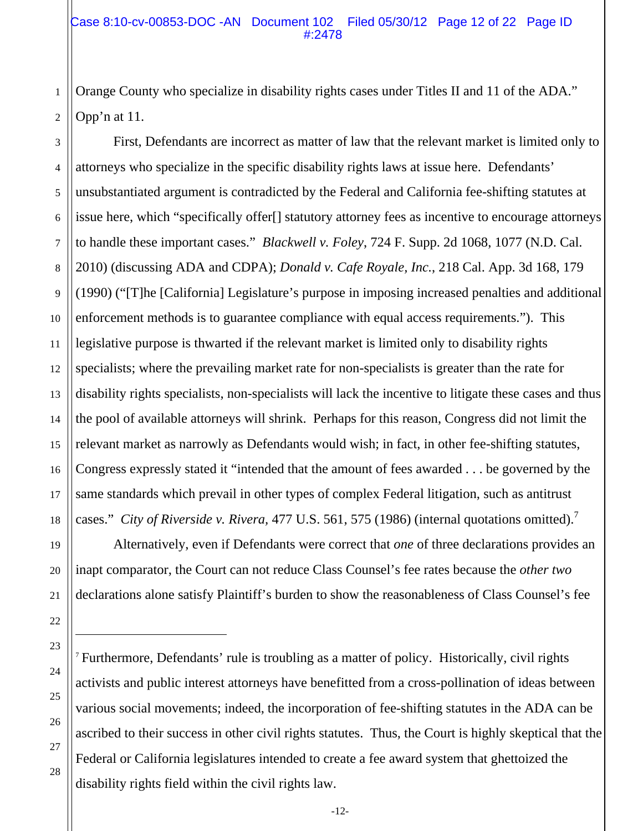Orange County who specialize in disability rights cases under Titles II and 11 of the ADA." Opp'n at 11.

3 4 5 6 7 8 9 10 11 12 13 14 15 16 17 18 First, Defendants are incorrect as matter of law that the relevant market is limited only to attorneys who specialize in the specific disability rights laws at issue here. Defendants' unsubstantiated argument is contradicted by the Federal and California fee-shifting statutes at issue here, which "specifically offer[] statutory attorney fees as incentive to encourage attorneys to handle these important cases." *Blackwell v. Foley*, 724 F. Supp. 2d 1068, 1077 (N.D. Cal. 2010) (discussing ADA and CDPA); *Donald v. Cafe Royale, Inc.*, 218 Cal. App. 3d 168, 179 (1990) ("[T]he [California] Legislature's purpose in imposing increased penalties and additional enforcement methods is to guarantee compliance with equal access requirements."). This legislative purpose is thwarted if the relevant market is limited only to disability rights specialists; where the prevailing market rate for non-specialists is greater than the rate for disability rights specialists, non-specialists will lack the incentive to litigate these cases and thus the pool of available attorneys will shrink. Perhaps for this reason, Congress did not limit the relevant market as narrowly as Defendants would wish; in fact, in other fee-shifting statutes, Congress expressly stated it "intended that the amount of fees awarded . . . be governed by the same standards which prevail in other types of complex Federal litigation, such as antitrust cases." *City of Riverside v. Rivera,* 477 U.S. 561, 575 (1986) (internal quotations omitted).<sup>7</sup>

Alternatively, even if Defendants were correct that *one* of three declarations provides an inapt comparator, the Court can not reduce Class Counsel's fee rates because the *other two*  declarations alone satisfy Plaintiff's burden to show the reasonableness of Class Counsel's fee

<sup>7</sup> Furthermore, Defendants' rule is troubling as a matter of policy. Historically, civil rights activists and public interest attorneys have benefitted from a cross-pollination of ideas between various social movements; indeed, the incorporation of fee-shifting statutes in the ADA can be ascribed to their success in other civil rights statutes. Thus, the Court is highly skeptical that the Federal or California legislatures intended to create a fee award system that ghettoized the disability rights field within the civil rights law.

 $\overline{\phantom{a}}$ 

19

20

1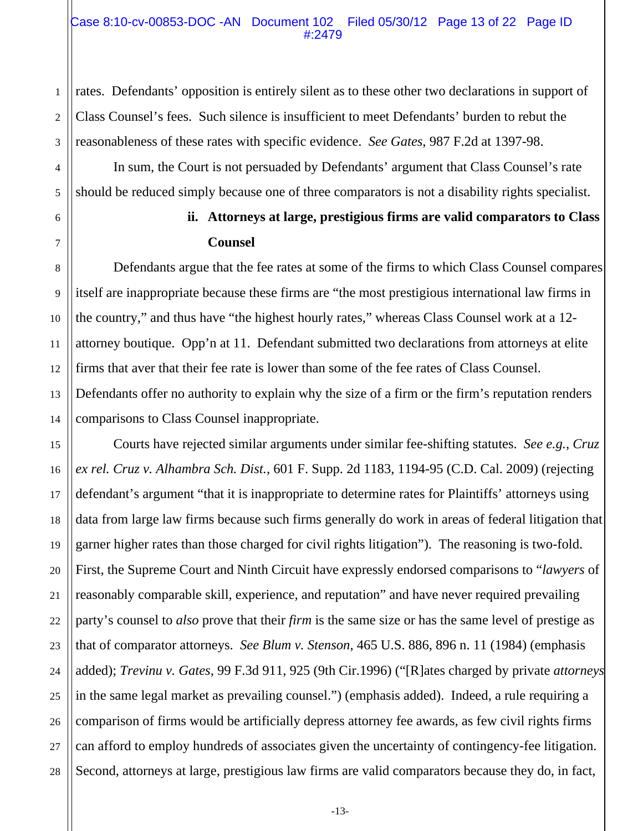#### Case 8:10-cv-00853-DOC -AN Document 102 Filed 05/30/12 Page 13 of 22 Page ID #:2479

rates. Defendants' opposition is entirely silent as to these other two declarations in support of Class Counsel's fees. Such silence is insufficient to meet Defendants' burden to rebut the reasonableness of these rates with specific evidence. *See Gates*, 987 F.2d at 1397-98.

 In sum, the Court is not persuaded by Defendants' argument that Class Counsel's rate should be reduced simply because one of three comparators is not a disability rights specialist.

## **ii. Attorneys at large, prestigious firms are valid comparators to Class Counsel**

Defendants argue that the fee rates at some of the firms to which Class Counsel compares itself are inappropriate because these firms are "the most prestigious international law firms in the country," and thus have "the highest hourly rates," whereas Class Counsel work at a 12 attorney boutique. Opp'n at 11. Defendant submitted two declarations from attorneys at elite firms that aver that their fee rate is lower than some of the fee rates of Class Counsel. Defendants offer no authority to explain why the size of a firm or the firm's reputation renders comparisons to Class Counsel inappropriate.

Courts have rejected similar arguments under similar fee-shifting statutes. *See e.g.*, *Cruz ex rel. Cruz v. Alhambra Sch. Dist.*, 601 F. Supp. 2d 1183, 1194-95 (C.D. Cal. 2009) (rejecting defendant's argument "that it is inappropriate to determine rates for Plaintiffs' attorneys using data from large law firms because such firms generally do work in areas of federal litigation that garner higher rates than those charged for civil rights litigation"). The reasoning is two-fold. First, the Supreme Court and Ninth Circuit have expressly endorsed comparisons to "*lawyers* of reasonably comparable skill, experience, and reputation" and have never required prevailing party's counsel to *also* prove that their *firm* is the same size or has the same level of prestige as that of comparator attorneys. *See Blum v. Stenson*, 465 U.S. 886, 896 n. 11 (1984) (emphasis added); *Trevinu v. Gates,* 99 F.3d 911, 925 (9th Cir.1996) ("[R]ates charged by private *attorneys* in the same legal market as prevailing counsel.") (emphasis added). Indeed, a rule requiring a comparison of firms would be artificially depress attorney fee awards, as few civil rights firms can afford to employ hundreds of associates given the uncertainty of contingency-fee litigation. Second, attorneys at large, prestigious law firms are valid comparators because they do, in fact,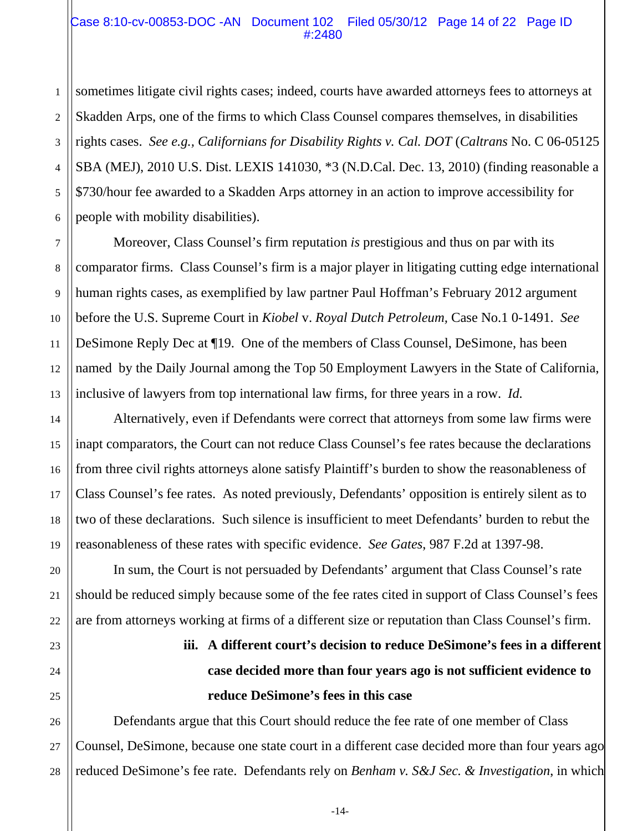#### Case 8:10-cv-00853-DOC -AN Document 102 Filed 05/30/12 Page 14 of 22 Page ID #:2480

2 3 sometimes litigate civil rights cases; indeed, courts have awarded attorneys fees to attorneys at Skadden Arps, one of the firms to which Class Counsel compares themselves, in disabilities rights cases. *See e.g., Californians for Disability Rights v. Cal. DOT* (*Caltrans* No. C 06-05125 SBA (MEJ), 2010 U.S. Dist. LEXIS 141030, \*3 (N.D.Cal. Dec. 13, 2010) (finding reasonable a \$730/hour fee awarded to a Skadden Arps attorney in an action to improve accessibility for people with mobility disabilities).

Moreover, Class Counsel's firm reputation *is* prestigious and thus on par with its comparator firms. Class Counsel's firm is a major player in litigating cutting edge international human rights cases, as exemplified by law partner Paul Hoffman's February 2012 argument before the U.S. Supreme Court in *Kiobel* v. *Royal Dutch Petroleum,* Case No.1 0-1491. *See* DeSimone Reply Dec at ¶19. One of the members of Class Counsel, DeSimone, has been named by the Daily Journal among the Top 50 Employment Lawyers in the State of California, inclusive of lawyers from top international law firms, for three years in a row. *Id.*

Alternatively, even if Defendants were correct that attorneys from some law firms were inapt comparators, the Court can not reduce Class Counsel's fee rates because the declarations from three civil rights attorneys alone satisfy Plaintiff's burden to show the reasonableness of Class Counsel's fee rates. As noted previously, Defendants' opposition is entirely silent as to two of these declarations. Such silence is insufficient to meet Defendants' burden to rebut the reasonableness of these rates with specific evidence. *See Gates*, 987 F.2d at 1397-98.

 In sum, the Court is not persuaded by Defendants' argument that Class Counsel's rate should be reduced simply because some of the fee rates cited in support of Class Counsel's fees are from attorneys working at firms of a different size or reputation than Class Counsel's firm.

# **iii. A different court's decision to reduce DeSimone's fees in a different case decided more than four years ago is not sufficient evidence to reduce DeSimone's fees in this case**

Defendants argue that this Court should reduce the fee rate of one member of Class Counsel, DeSimone, because one state court in a different case decided more than four years ago reduced DeSimone's fee rate. Defendants rely on *Benham v. S&J Sec. & Investigation*, in which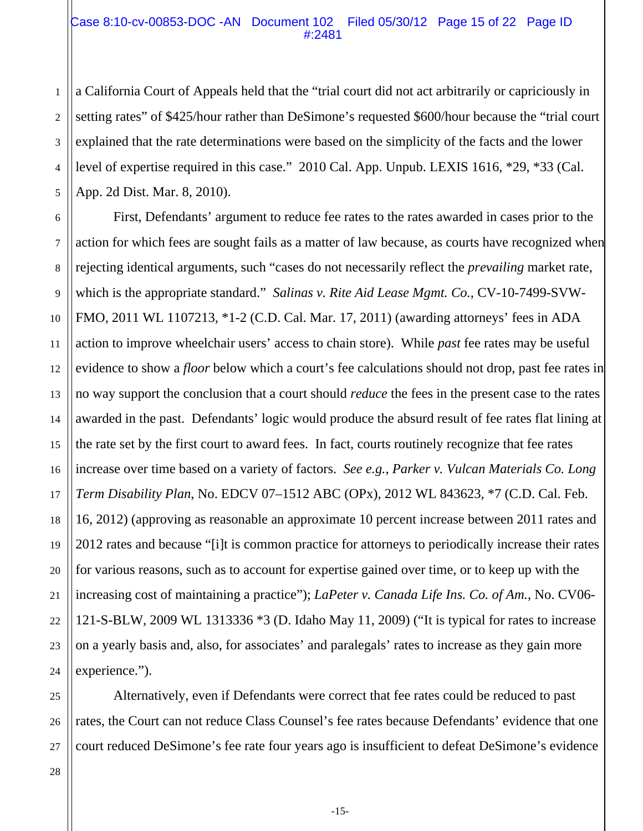#### Case 8:10-cv-00853-DOC -AN Document 102 Filed 05/30/12 Page 15 of 22 Page ID #:2481

3 4 5 a California Court of Appeals held that the "trial court did not act arbitrarily or capriciously in setting rates" of \$425/hour rather than DeSimone's requested \$600/hour because the "trial court explained that the rate determinations were based on the simplicity of the facts and the lower level of expertise required in this case." 2010 Cal. App. Unpub. LEXIS 1616, \*29, \*33 (Cal. App. 2d Dist. Mar. 8, 2010).

6 7 10 12 13 14 15 16 18 19 20 22 24 First, Defendants' argument to reduce fee rates to the rates awarded in cases prior to the action for which fees are sought fails as a matter of law because, as courts have recognized when rejecting identical arguments, such "cases do not necessarily reflect the *prevailing* market rate, which is the appropriate standard." *Salinas v. Rite Aid Lease Mgmt. Co.*, CV-10-7499-SVW-FMO, 2011 WL 1107213, \*1-2 (C.D. Cal. Mar. 17, 2011) (awarding attorneys' fees in ADA action to improve wheelchair users' access to chain store). While *past* fee rates may be useful evidence to show a *floor* below which a court's fee calculations should not drop, past fee rates in no way support the conclusion that a court should *reduce* the fees in the present case to the rates awarded in the past. Defendants' logic would produce the absurd result of fee rates flat lining at the rate set by the first court to award fees. In fact, courts routinely recognize that fee rates increase over time based on a variety of factors. *See e.g.*, *Parker v. Vulcan Materials Co. Long Term Disability Plan*, No. EDCV 07–1512 ABC (OPx), 2012 WL 843623, \*7 (C.D. Cal. Feb. 16, 2012) (approving as reasonable an approximate 10 percent increase between 2011 rates and 2012 rates and because "[i]t is common practice for attorneys to periodically increase their rates for various reasons, such as to account for expertise gained over time, or to keep up with the increasing cost of maintaining a practice"); *LaPeter v. Canada Life Ins. Co. of Am.*, No. CV06- 121-S-BLW, 2009 WL 1313336 \*3 (D. Idaho May 11, 2009) ("It is typical for rates to increase on a yearly basis and, also, for associates' and paralegals' rates to increase as they gain more experience.").

Alternatively, even if Defendants were correct that fee rates could be reduced to past rates, the Court can not reduce Class Counsel's fee rates because Defendants' evidence that one court reduced DeSimone's fee rate four years ago is insufficient to defeat DeSimone's evidence

1

2

8

9

11

17

21

23

25

26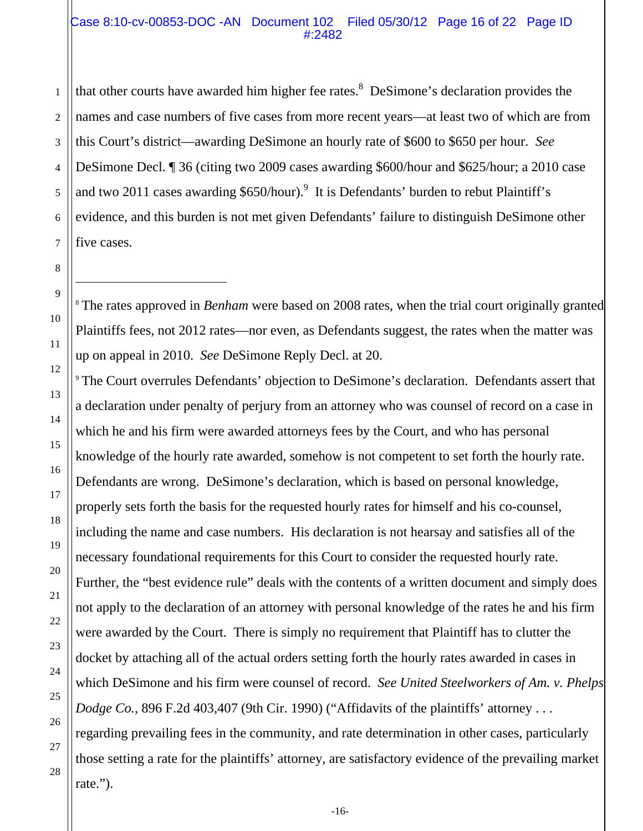#### Case 8:10-cv-00853-DOC -AN Document 102 Filed 05/30/12 Page 16 of 22 Page ID #:2482

1 2 that other courts have awarded him higher fee rates.<sup>8</sup> DeSimone's declaration provides the names and case numbers of five cases from more recent years—at least two of which are from this Court's district—awarding DeSimone an hourly rate of \$600 to \$650 per hour. *See* DeSimone Decl. ¶ 36 (citing two 2009 cases awarding \$600/hour and \$625/hour; a 2010 case and two 2011 cases awarding \$650/hour).<sup>9</sup> It is Defendants' burden to rebut Plaintiff's evidence, and this burden is not met given Defendants' failure to distinguish DeSimone other five cases.

<sup>8</sup> The rates approved in *Benham* were based on 2008 rates, when the trial court originally granted Plaintiffs fees, not 2012 rates—nor even, as Defendants suggest, the rates when the matter was up on appeal in 2010. *See* DeSimone Reply Decl. at 20.

<sup>9</sup> The Court overrules Defendants' objection to DeSimone's declaration. Defendants assert that a declaration under penalty of perjury from an attorney who was counsel of record on a case in which he and his firm were awarded attorneys fees by the Court, and who has personal knowledge of the hourly rate awarded, somehow is not competent to set forth the hourly rate. Defendants are wrong. DeSimone's declaration, which is based on personal knowledge, properly sets forth the basis for the requested hourly rates for himself and his co-counsel, including the name and case numbers. His declaration is not hearsay and satisfies all of the necessary foundational requirements for this Court to consider the requested hourly rate. Further, the "best evidence rule" deals with the contents of a written document and simply does not apply to the declaration of an attorney with personal knowledge of the rates he and his firm were awarded by the Court. There is simply no requirement that Plaintiff has to clutter the docket by attaching all of the actual orders setting forth the hourly rates awarded in cases in which DeSimone and his firm were counsel of record. *See United Steelworkers of Am. v. Phelps Dodge Co.*, 896 F.2d 403,407 (9th Cir. 1990) ("Affidavits of the plaintiffs' attorney ... regarding prevailing fees in the community, and rate determination in other cases, particularly those setting a rate for the plaintiffs' attorney, are satisfactory evidence of the prevailing market rate.").

 $\overline{\phantom{a}}$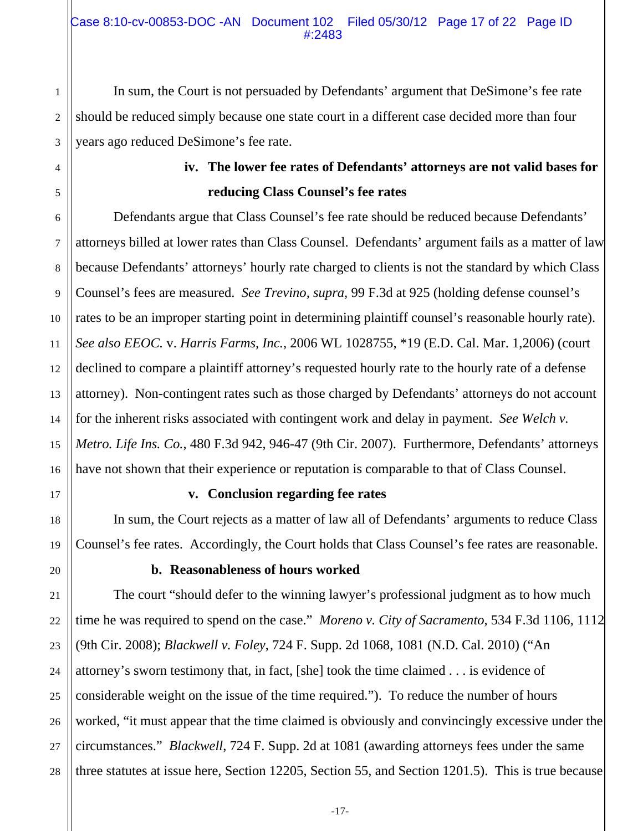In sum, the Court is not persuaded by Defendants' argument that DeSimone's fee rate should be reduced simply because one state court in a different case decided more than four years ago reduced DeSimone's fee rate.

# **iv. The lower fee rates of Defendants' attorneys are not valid bases for reducing Class Counsel's fee rates**

Defendants argue that Class Counsel's fee rate should be reduced because Defendants' attorneys billed at lower rates than Class Counsel. Defendants' argument fails as a matter of law because Defendants' attorneys' hourly rate charged to clients is not the standard by which Class Counsel's fees are measured. *See Trevino, supra,* 99 F.3d at 925 (holding defense counsel's rates to be an improper starting point in determining plaintiff counsel's reasonable hourly rate). *See also EEOC.* v. *Harris Farms, Inc.*, 2006 WL 1028755, \*19 (E.D. Cal. Mar. 1,2006) (court declined to compare a plaintiff attorney's requested hourly rate to the hourly rate of a defense attorney). Non-contingent rates such as those charged by Defendants' attorneys do not account for the inherent risks associated with contingent work and delay in payment. *See Welch v. Metro. Life Ins. Co.*, 480 F.3d 942, 946-47 (9th Cir. 2007). Furthermore, Defendants' attorneys have not shown that their experience or reputation is comparable to that of Class Counsel.

## **v. Conclusion regarding fee rates**

In sum, the Court rejects as a matter of law all of Defendants' arguments to reduce Class Counsel's fee rates. Accordingly, the Court holds that Class Counsel's fee rates are reasonable.

## **b. Reasonableness of hours worked**

The court "should defer to the winning lawyer's professional judgment as to how much time he was required to spend on the case." *Moreno v. City of Sacramento*, 534 F.3d 1106, 1112 (9th Cir. 2008); *Blackwell v. Foley*, 724 F. Supp. 2d 1068, 1081 (N.D. Cal. 2010) ("An attorney's sworn testimony that, in fact, [she] took the time claimed . . . is evidence of considerable weight on the issue of the time required."). To reduce the number of hours worked, "it must appear that the time claimed is obviously and convincingly excessive under the circumstances." *Blackwell*, 724 F. Supp. 2d at 1081 (awarding attorneys fees under the same three statutes at issue here, Section 12205, Section 55, and Section 1201.5). This is true because

1

2

3

4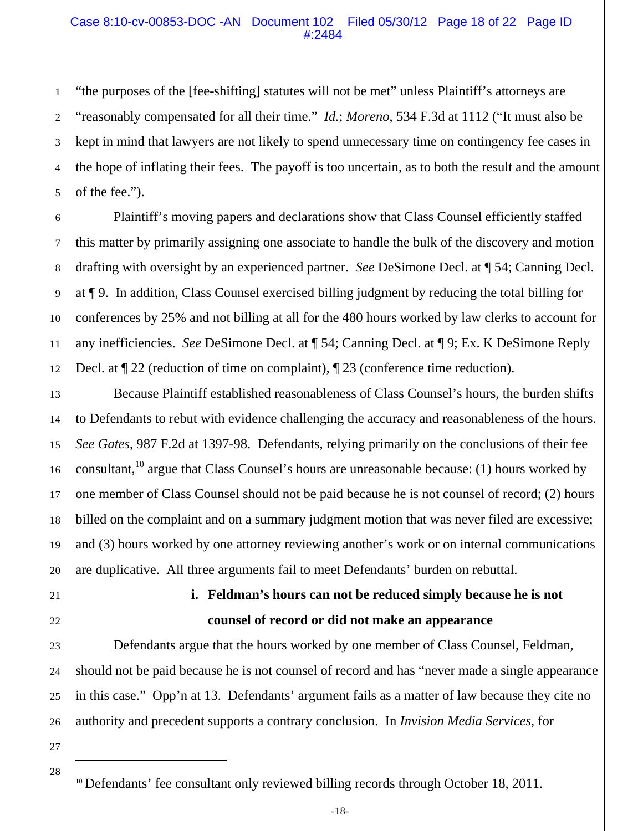#### Case 8:10-cv-00853-DOC -AN Document 102 Filed 05/30/12 Page 18 of 22 Page ID #:2484

"the purposes of the [fee-shifting] statutes will not be met" unless Plaintiff's attorneys are "reasonably compensated for all their time." *Id.*; *Moreno*, 534 F.3d at 1112 ("It must also be kept in mind that lawyers are not likely to spend unnecessary time on contingency fee cases in the hope of inflating their fees. The payoff is too uncertain, as to both the result and the amount of the fee.").

Plaintiff's moving papers and declarations show that Class Counsel efficiently staffed this matter by primarily assigning one associate to handle the bulk of the discovery and motion drafting with oversight by an experienced partner. *See* DeSimone Decl. at ¶ 54; Canning Decl. at ¶ 9. In addition, Class Counsel exercised billing judgment by reducing the total billing for conferences by 25% and not billing at all for the 480 hours worked by law clerks to account for any inefficiencies. *See* DeSimone Decl. at ¶ 54; Canning Decl. at ¶ 9; Ex. K DeSimone Reply Decl. at ¶ 22 (reduction of time on complaint), ¶ 23 (conference time reduction).

Because Plaintiff established reasonableness of Class Counsel's hours, the burden shifts to Defendants to rebut with evidence challenging the accuracy and reasonableness of the hours. *See Gates*, 987 F.2d at 1397-98. Defendants, relying primarily on the conclusions of their fee consultant,<sup>10</sup> argue that Class Counsel's hours are unreasonable because: (1) hours worked by one member of Class Counsel should not be paid because he is not counsel of record; (2) hours billed on the complaint and on a summary judgment motion that was never filed are excessive; and (3) hours worked by one attorney reviewing another's work or on internal communications are duplicative. All three arguments fail to meet Defendants' burden on rebuttal.

23

24

25

26

1

2

3

4

5

6

7

8

9

10

11

12

13

14

15

16

17

18

19

20

# **i. Feldman's hours can not be reduced simply because he is not counsel of record or did not make an appearance**

Defendants argue that the hours worked by one member of Class Counsel, Feldman, should not be paid because he is not counsel of record and has "never made a single appearance in this case." Opp'n at 13. Defendants' argument fails as a matter of law because they cite no authority and precedent supports a contrary conclusion. In *Invision Media Services*, for

27 28

 $\overline{\phantom{a}}$ 

<sup>&</sup>lt;sup>10</sup> Defendants' fee consultant only reviewed billing records through October 18, 2011.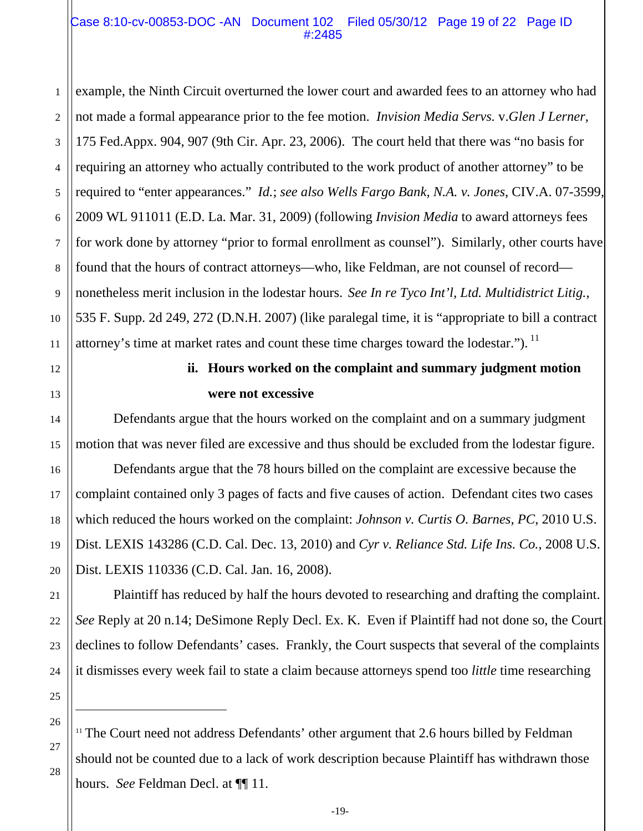#### Case 8:10-cv-00853-DOC -AN Document 102 Filed 05/30/12 Page 19 of 22 Page ID #:2485

1 2 3 4 5 6 7 8 9 10 11 example, the Ninth Circuit overturned the lower court and awarded fees to an attorney who had not made a formal appearance prior to the fee motion. *Invision Media Servs.* v.*Glen J Lerner*, 175 Fed.Appx. 904, 907 (9th Cir. Apr. 23, 2006). The court held that there was "no basis for requiring an attorney who actually contributed to the work product of another attorney" to be required to "enter appearances." *Id.*; *see also Wells Fargo Bank, N.A. v. Jones*, CIV.A. 07-3599, 2009 WL 911011 (E.D. La. Mar. 31, 2009) (following *Invision Media* to award attorneys fees for work done by attorney "prior to formal enrollment as counsel"). Similarly, other courts have found that the hours of contract attorneys—who, like Feldman, are not counsel of record nonetheless merit inclusion in the lodestar hours. *See In re Tyco Int'l, Ltd. Multidistrict Litig.*, 535 F. Supp. 2d 249, 272 (D.N.H. 2007) (like paralegal time, it is "appropriate to bill a contract attorney's time at market rates and count these time charges toward the lodestar.").  $<sup>11</sup>$ </sup>

# 12

13

14

15

16

17

18

19

20

21

22

23

24

## **ii. Hours worked on the complaint and summary judgment motion were not excessive**

Defendants argue that the hours worked on the complaint and on a summary judgment motion that was never filed are excessive and thus should be excluded from the lodestar figure. Defendants argue that the 78 hours billed on the complaint are excessive because the complaint contained only 3 pages of facts and five causes of action. Defendant cites two cases

which reduced the hours worked on the complaint: *Johnson v. Curtis O. Barnes, PC*, 2010 U.S. Dist. LEXIS 143286 (C.D. Cal. Dec. 13, 2010) and *Cyr v. Reliance Std. Life Ins. Co.*, 2008 U.S. Dist. LEXIS 110336 (C.D. Cal. Jan. 16, 2008).

Plaintiff has reduced by half the hours devoted to researching and drafting the complaint. *See* Reply at 20 n.14; DeSimone Reply Decl. Ex. K. Even if Plaintiff had not done so, the Court declines to follow Defendants' cases. Frankly, the Court suspects that several of the complaints it dismisses every week fail to state a claim because attorneys spend too *little* time researching

25 26 27

 $\overline{\phantom{a}}$ 

<sup>&</sup>lt;sup>11</sup> The Court need not address Defendants' other argument that 2.6 hours billed by Feldman should not be counted due to a lack of work description because Plaintiff has withdrawn those hours. *See* Feldman Decl. at ¶¶ 11.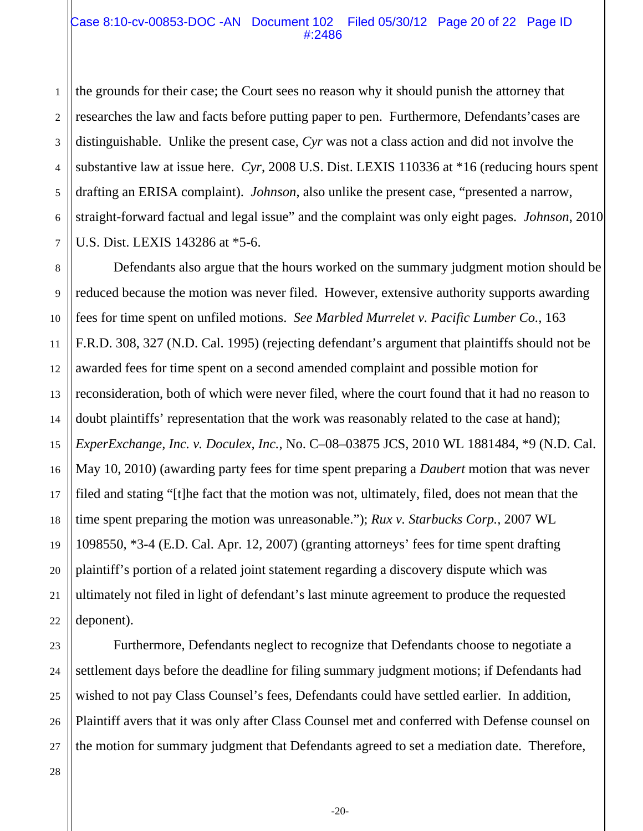#### Case 8:10-cv-00853-DOC -AN Document 102 Filed 05/30/12 Page 20 of 22 Page ID #:2486

1 2 3 4 5 6 the grounds for their case; the Court sees no reason why it should punish the attorney that researches the law and facts before putting paper to pen. Furthermore, Defendants'cases are distinguishable. Unlike the present case, *Cyr* was not a class action and did not involve the substantive law at issue here. *Cyr*, 2008 U.S. Dist. LEXIS 110336 at \*16 (reducing hours spent drafting an ERISA complaint). *Johnson*, also unlike the present case, "presented a narrow, straight-forward factual and legal issue" and the complaint was only eight pages. *Johnson*, 2010 U.S. Dist. LEXIS 143286 at \*5-6.

Defendants also argue that the hours worked on the summary judgment motion should be reduced because the motion was never filed. However, extensive authority supports awarding fees for time spent on unfiled motions. *See Marbled Murrelet v. Pacific Lumber Co.,* 163 F.R.D. 308, 327 (N.D. Cal. 1995) (rejecting defendant's argument that plaintiffs should not be awarded fees for time spent on a second amended complaint and possible motion for reconsideration, both of which were never filed, where the court found that it had no reason to doubt plaintiffs' representation that the work was reasonably related to the case at hand); *ExperExchange, Inc. v. Doculex, Inc.*, No. C–08–03875 JCS, 2010 WL 1881484, \*9 (N.D. Cal. May 10, 2010) (awarding party fees for time spent preparing a *Daubert* motion that was never filed and stating "[t]he fact that the motion was not, ultimately, filed, does not mean that the time spent preparing the motion was unreasonable."); *Rux v. Starbucks Corp.,* 2007 WL 1098550, \*3-4 (E.D. Cal. Apr. 12, 2007) (granting attorneys' fees for time spent drafting plaintiff's portion of a related joint statement regarding a discovery dispute which was ultimately not filed in light of defendant's last minute agreement to produce the requested deponent).

Furthermore, Defendants neglect to recognize that Defendants choose to negotiate a settlement days before the deadline for filing summary judgment motions; if Defendants had wished to not pay Class Counsel's fees, Defendants could have settled earlier. In addition, Plaintiff avers that it was only after Class Counsel met and conferred with Defense counsel on the motion for summary judgment that Defendants agreed to set a mediation date. Therefore,

-20-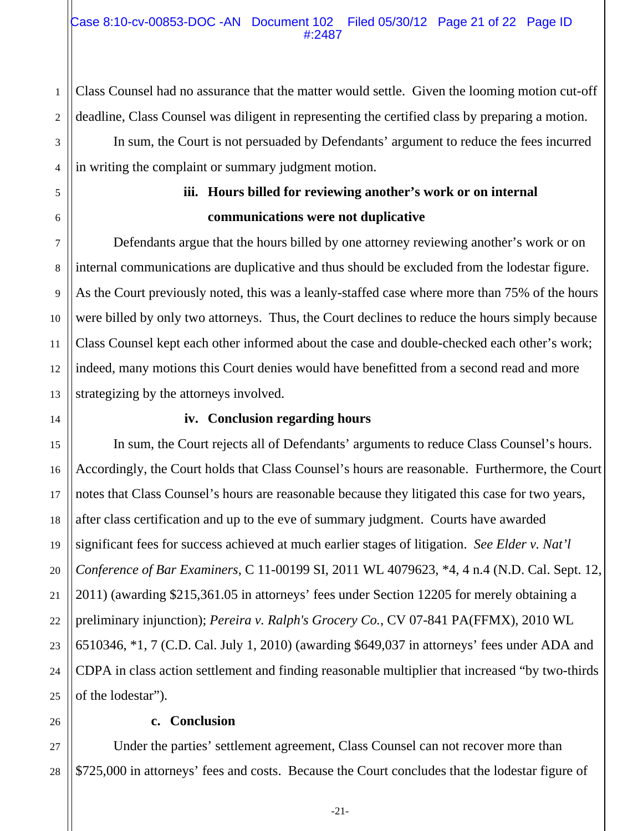Class Counsel had no assurance that the matter would settle. Given the looming motion cut-off deadline, Class Counsel was diligent in representing the certified class by preparing a motion.

 In sum, the Court is not persuaded by Defendants' argument to reduce the fees incurred in writing the complaint or summary judgment motion.

## **iii. Hours billed for reviewing another's work or on internal communications were not duplicative**

Defendants argue that the hours billed by one attorney reviewing another's work or on internal communications are duplicative and thus should be excluded from the lodestar figure. As the Court previously noted, this was a leanly-staffed case where more than 75% of the hours were billed by only two attorneys. Thus, the Court declines to reduce the hours simply because Class Counsel kept each other informed about the case and double-checked each other's work; indeed, many motions this Court denies would have benefitted from a second read and more strategizing by the attorneys involved.

## **iv. Conclusion regarding hours**

In sum, the Court rejects all of Defendants' arguments to reduce Class Counsel's hours. Accordingly, the Court holds that Class Counsel's hours are reasonable. Furthermore, the Court notes that Class Counsel's hours are reasonable because they litigated this case for two years, after class certification and up to the eve of summary judgment. Courts have awarded significant fees for success achieved at much earlier stages of litigation. *See Elder v. Nat'l Conference of Bar Examiners*, C 11-00199 SI, 2011 WL 4079623, \*4, 4 n.4 (N.D. Cal. Sept. 12, 2011) (awarding \$215,361.05 in attorneys' fees under Section 12205 for merely obtaining a preliminary injunction); *Pereira v. Ralph's Grocery Co.*, CV 07-841 PA(FFMX), 2010 WL 6510346, \*1, 7 (C.D. Cal. July 1, 2010) (awarding \$649,037 in attorneys' fees under ADA and CDPA in class action settlement and finding reasonable multiplier that increased "by two-thirds of the lodestar").

## **c. Conclusion**

Under the parties' settlement agreement, Class Counsel can not recover more than \$725,000 in attorneys' fees and costs. Because the Court concludes that the lodestar figure of

1

2